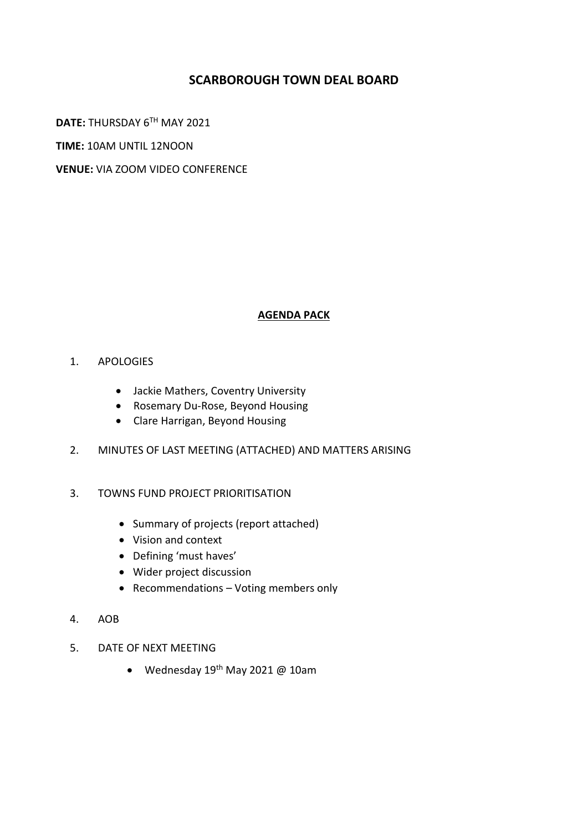### **SCARBOROUGH TOWN DEAL BOARD**

**DATE:** THURSDAY 6TH MAY 2021

**TIME:** 10AM UNTIL 12NOON

**VENUE:** VIA ZOOM VIDEO CONFERENCE

#### **AGENDA PACK**

- 1. APOLOGIES
	- Jackie Mathers, Coventry University
	- Rosemary Du-Rose, Beyond Housing
	- Clare Harrigan, Beyond Housing
- 2. MINUTES OF LAST MEETING (ATTACHED) AND MATTERS ARISING
- 3. TOWNS FUND PROJECT PRIORITISATION
	- Summary of projects (report attached)
	- Vision and context
	- Defining 'must haves'
	- Wider project discussion
	- Recommendations Voting members only
- 4. AOB
- 5. DATE OF NEXT MEETING
	- Wednesday 19<sup>th</sup> May 2021 @ 10am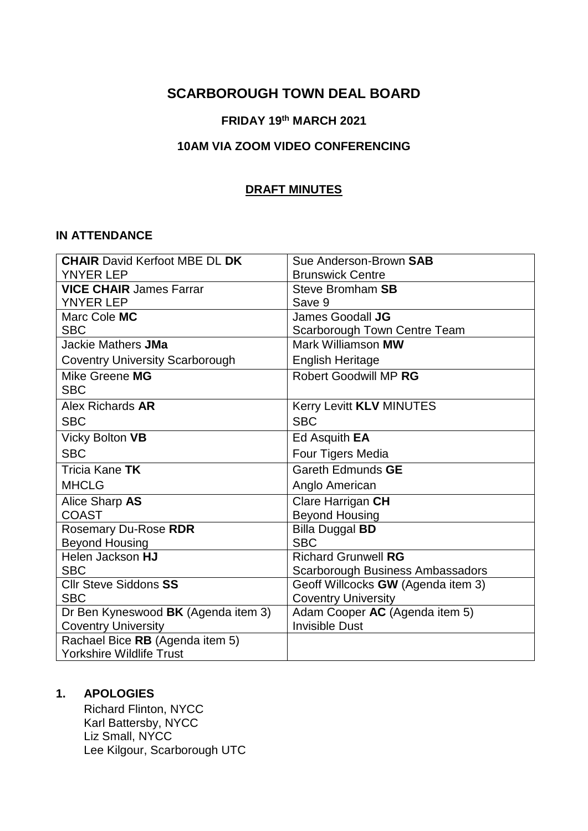## **SCARBOROUGH TOWN DEAL BOARD**

## **FRIDAY 19th MARCH 2021**

#### **10AM VIA ZOOM VIDEO CONFERENCING**

#### **DRAFT MINUTES**

#### **IN ATTENDANCE**

| <b>CHAIR David Kerfoot MBE DL DK</b>   | Sue Anderson-Brown SAB                  |
|----------------------------------------|-----------------------------------------|
| <b>YNYER LEP</b>                       | <b>Brunswick Centre</b>                 |
| <b>VICE CHAIR James Farrar</b>         | <b>Steve Bromham SB</b>                 |
| <b>YNYER LEP</b>                       | Save 9                                  |
| Marc Cole MC                           | James Goodall JG                        |
| <b>SBC</b>                             | Scarborough Town Centre Team            |
| Jackie Mathers JMa                     | Mark Williamson MW                      |
| <b>Coventry University Scarborough</b> | <b>English Heritage</b>                 |
| Mike Greene MG                         | <b>Robert Goodwill MP RG</b>            |
| <b>SBC</b>                             |                                         |
| Alex Richards AR                       | Kerry Levitt KLV MINUTES                |
| <b>SBC</b>                             | <b>SBC</b>                              |
| Vicky Bolton VB                        | Ed Asquith EA                           |
| <b>SBC</b>                             | Four Tigers Media                       |
| Tricia Kane TK                         | Gareth Edmunds GE                       |
| <b>MHCLG</b>                           | Anglo American                          |
| Alice Sharp AS                         | Clare Harrigan CH                       |
| <b>COAST</b>                           | <b>Beyond Housing</b>                   |
| Rosemary Du-Rose RDR                   | <b>Billa Duggal BD</b>                  |
| <b>Beyond Housing</b>                  | <b>SBC</b>                              |
| Helen Jackson HJ                       | <b>Richard Grunwell RG</b>              |
| <b>SBC</b>                             | <b>Scarborough Business Ambassadors</b> |
| <b>Cllr Steve Siddons SS</b>           | Geoff Willcocks GW (Agenda item 3)      |
| <b>SBC</b>                             | <b>Coventry University</b>              |
| Dr Ben Kyneswood BK (Agenda item 3)    | Adam Cooper AC (Agenda item 5)          |
| <b>Coventry University</b>             | <b>Invisible Dust</b>                   |
| Rachael Bice RB (Agenda item 5)        |                                         |
| <b>Yorkshire Wildlife Trust</b>        |                                         |

#### **1. APOLOGIES**

Richard Flinton, NYCC Karl Battersby, NYCC Liz Small, NYCC Lee Kilgour, Scarborough UTC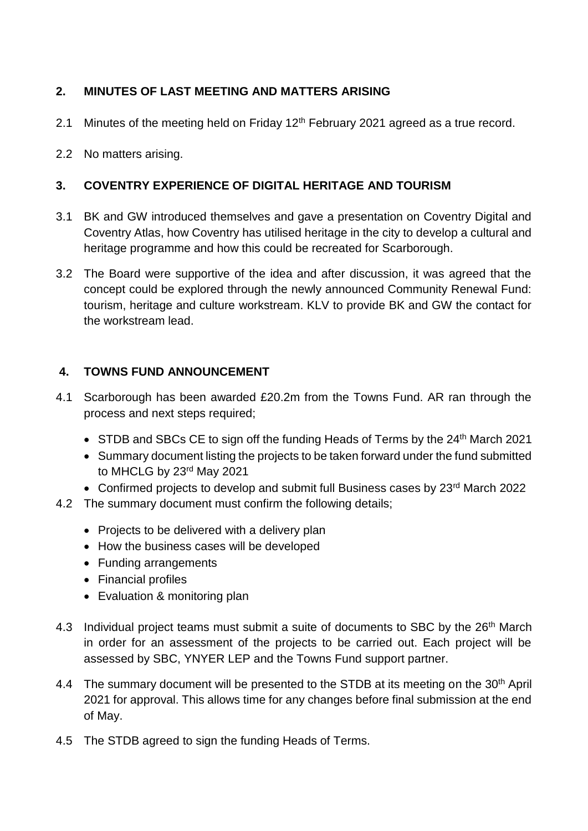## **2. MINUTES OF LAST MEETING AND MATTERS ARISING**

- 2.1 Minutes of the meeting held on Friday  $12<sup>th</sup>$  February 2021 agreed as a true record.
- 2.2 No matters arising.

## **3. COVENTRY EXPERIENCE OF DIGITAL HERITAGE AND TOURISM**

- 3.1 BK and GW introduced themselves and gave a presentation on Coventry Digital and Coventry Atlas, how Coventry has utilised heritage in the city to develop a cultural and heritage programme and how this could be recreated for Scarborough.
- 3.2 The Board were supportive of the idea and after discussion, it was agreed that the concept could be explored through the newly announced Community Renewal Fund: tourism, heritage and culture workstream. KLV to provide BK and GW the contact for the workstream lead.

## **4. TOWNS FUND ANNOUNCEMENT**

- 4.1 Scarborough has been awarded £20.2m from the Towns Fund. AR ran through the process and next steps required;
	- STDB and SBCs CE to sign off the funding Heads of Terms by the 24<sup>th</sup> March 2021
	- Summary document listing the projects to be taken forward under the fund submitted to MHCLG by 23rd May 2021
	- Confirmed projects to develop and submit full Business cases by 23<sup>rd</sup> March 2022
- 4.2 The summary document must confirm the following details;
	- Projects to be delivered with a delivery plan
	- How the business cases will be developed
	- Funding arrangements
	- Financial profiles
	- Evaluation & monitoring plan
- 4.3 Individual project teams must submit a suite of documents to SBC by the 26<sup>th</sup> March in order for an assessment of the projects to be carried out. Each project will be assessed by SBC, YNYER LEP and the Towns Fund support partner.
- 4.4 The summary document will be presented to the STDB at its meeting on the 30<sup>th</sup> April 2021 for approval. This allows time for any changes before final submission at the end of May.
- 4.5 The STDB agreed to sign the funding Heads of Terms.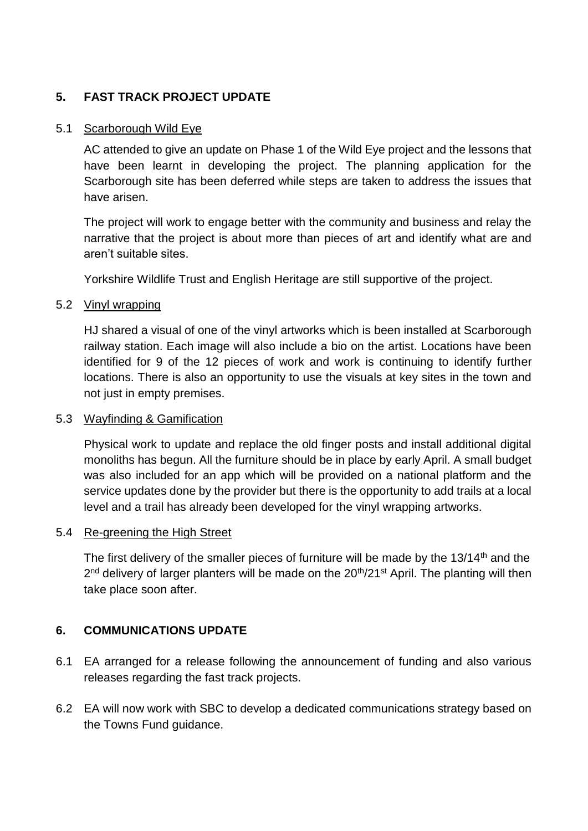## **5. FAST TRACK PROJECT UPDATE**

#### 5.1 Scarborough Wild Eye

AC attended to give an update on Phase 1 of the Wild Eye project and the lessons that have been learnt in developing the project. The planning application for the Scarborough site has been deferred while steps are taken to address the issues that have arisen.

The project will work to engage better with the community and business and relay the narrative that the project is about more than pieces of art and identify what are and aren't suitable sites.

Yorkshire Wildlife Trust and English Heritage are still supportive of the project.

#### 5.2 Vinyl wrapping

HJ shared a visual of one of the vinyl artworks which is been installed at Scarborough railway station. Each image will also include a bio on the artist. Locations have been identified for 9 of the 12 pieces of work and work is continuing to identify further locations. There is also an opportunity to use the visuals at key sites in the town and not just in empty premises.

#### 5.3 Wayfinding & Gamification

Physical work to update and replace the old finger posts and install additional digital monoliths has begun. All the furniture should be in place by early April. A small budget was also included for an app which will be provided on a national platform and the service updates done by the provider but there is the opportunity to add trails at a local level and a trail has already been developed for the vinyl wrapping artworks.

#### 5.4 Re-greening the High Street

The first delivery of the smaller pieces of furniture will be made by the 13/14<sup>th</sup> and the 2<sup>nd</sup> delivery of larger planters will be made on the 20<sup>th</sup>/21<sup>st</sup> April. The planting will then take place soon after.

#### **6. COMMUNICATIONS UPDATE**

- 6.1 EA arranged for a release following the announcement of funding and also various releases regarding the fast track projects.
- 6.2 EA will now work with SBC to develop a dedicated communications strategy based on the Towns Fund guidance.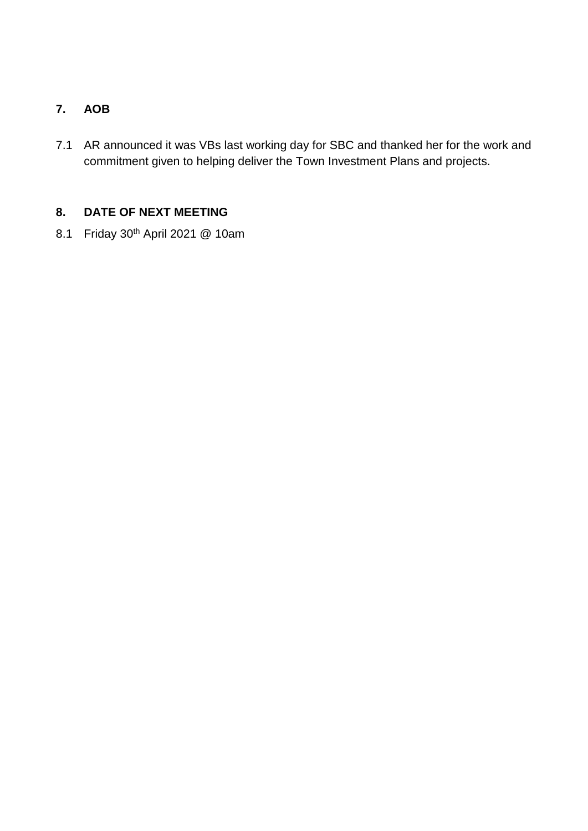## **7. AOB**

7.1 AR announced it was VBs last working day for SBC and thanked her for the work and commitment given to helping deliver the Town Investment Plans and projects.

## **8. DATE OF NEXT MEETING**

8.1 Friday 30th April 2021 @ 10am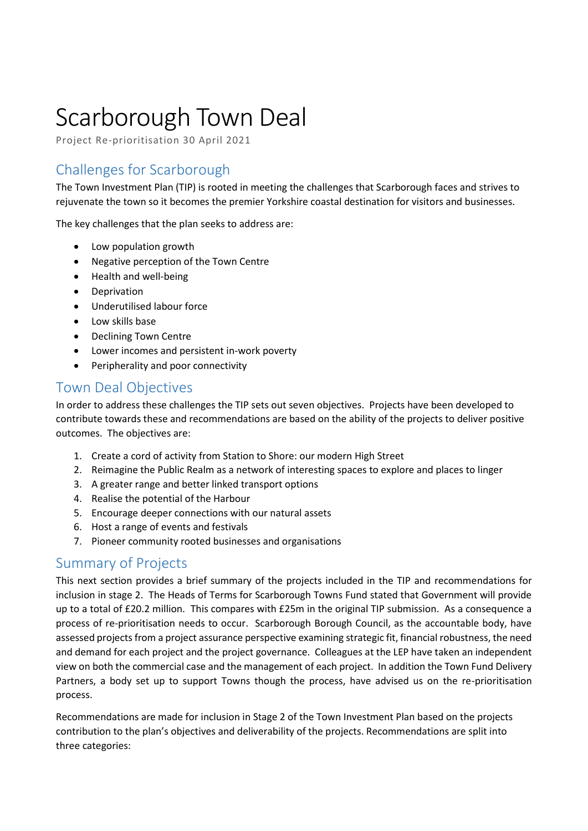# Scarborough Town Deal

Project Re-prioritisation 30 April 2021

# Challenges for Scarborough

The Town Investment Plan (TIP) is rooted in meeting the challenges that Scarborough faces and strives to rejuvenate the town so it becomes the premier Yorkshire coastal destination for visitors and businesses.

The key challenges that the plan seeks to address are:

- Low population growth
- Negative perception of the Town Centre
- Health and well-being
- **•** Deprivation
- Underutilised labour force
- Low skills base
- Declining Town Centre
- Lower incomes and persistent in-work poverty
- Peripherality and poor connectivity

## Town Deal Objectives

In order to address these challenges the TIP sets out seven objectives. Projects have been developed to contribute towards these and recommendations are based on the ability of the projects to deliver positive outcomes. The objectives are:

- 1. Create a cord of activity from Station to Shore: our modern High Street
- 2. Reimagine the Public Realm as a network of interesting spaces to explore and places to linger
- 3. A greater range and better linked transport options
- 4. Realise the potential of the Harbour
- 5. Encourage deeper connections with our natural assets
- 6. Host a range of events and festivals
- 7. Pioneer community rooted businesses and organisations

## Summary of Projects

This next section provides a brief summary of the projects included in the TIP and recommendations for inclusion in stage 2. The Heads of Terms for Scarborough Towns Fund stated that Government will provide up to a total of £20.2 million. This compares with £25m in the original TIP submission. As a consequence a process of re-prioritisation needs to occur. Scarborough Borough Council, as the accountable body, have assessed projects from a project assurance perspective examining strategic fit, financial robustness, the need and demand for each project and the project governance. Colleagues at the LEP have taken an independent view on both the commercial case and the management of each project. In addition the Town Fund Delivery Partners, a body set up to support Towns though the process, have advised us on the re-prioritisation process.

Recommendations are made for inclusion in Stage 2 of the Town Investment Plan based on the projects contribution to the plan's objectives and deliverability of the projects. Recommendations are split into three categories: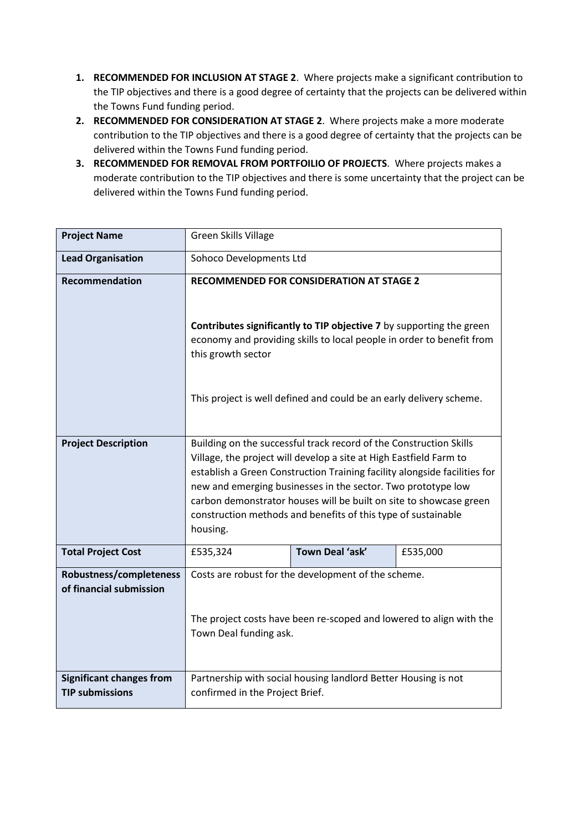- **1. RECOMMENDED FOR INCLUSION AT STAGE 2**. Where projects make a significant contribution to the TIP objectives and there is a good degree of certainty that the projects can be delivered within the Towns Fund funding period.
- **2. RECOMMENDED FOR CONSIDERATION AT STAGE 2**. Where projects make a more moderate contribution to the TIP objectives and there is a good degree of certainty that the projects can be delivered within the Towns Fund funding period.
- **3. RECOMMENDED FOR REMOVAL FROM PORTFOILIO OF PROJECTS**. Where projects makes a moderate contribution to the TIP objectives and there is some uncertainty that the project can be delivered within the Towns Fund funding period.

| <b>Project Name</b>                                       | <b>Green Skills Village</b>                                                                                                                                                                                                                                                                                                                                                                                                              |                 |          |
|-----------------------------------------------------------|------------------------------------------------------------------------------------------------------------------------------------------------------------------------------------------------------------------------------------------------------------------------------------------------------------------------------------------------------------------------------------------------------------------------------------------|-----------------|----------|
| <b>Lead Organisation</b>                                  | Sohoco Developments Ltd                                                                                                                                                                                                                                                                                                                                                                                                                  |                 |          |
| <b>Recommendation</b>                                     | <b>RECOMMENDED FOR CONSIDERATION AT STAGE 2</b>                                                                                                                                                                                                                                                                                                                                                                                          |                 |          |
|                                                           | Contributes significantly to TIP objective 7 by supporting the green<br>economy and providing skills to local people in order to benefit from<br>this growth sector                                                                                                                                                                                                                                                                      |                 |          |
|                                                           | This project is well defined and could be an early delivery scheme.                                                                                                                                                                                                                                                                                                                                                                      |                 |          |
| <b>Project Description</b>                                | Building on the successful track record of the Construction Skills<br>Village, the project will develop a site at High Eastfield Farm to<br>establish a Green Construction Training facility alongside facilities for<br>new and emerging businesses in the sector. Two prototype low<br>carbon demonstrator houses will be built on site to showcase green<br>construction methods and benefits of this type of sustainable<br>housing. |                 |          |
| <b>Total Project Cost</b>                                 | £535,324                                                                                                                                                                                                                                                                                                                                                                                                                                 | Town Deal 'ask' | £535,000 |
| Robustness/completeness<br>of financial submission        | Costs are robust for the development of the scheme.                                                                                                                                                                                                                                                                                                                                                                                      |                 |          |
|                                                           | The project costs have been re-scoped and lowered to align with the<br>Town Deal funding ask.                                                                                                                                                                                                                                                                                                                                            |                 |          |
| <b>Significant changes from</b><br><b>TIP submissions</b> | Partnership with social housing landlord Better Housing is not<br>confirmed in the Project Brief.                                                                                                                                                                                                                                                                                                                                        |                 |          |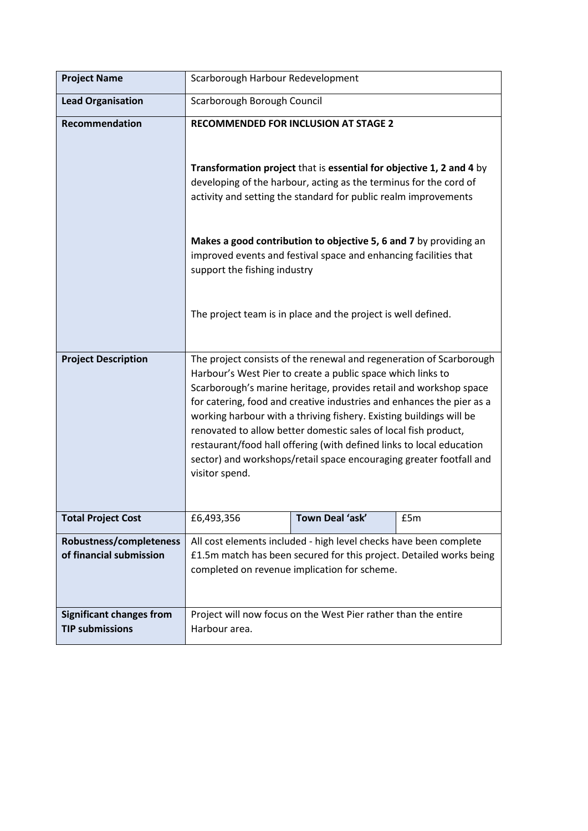| <b>Project Name</b>                                       | Scarborough Harbour Redevelopment                                                                                                                                                                                                                                                                                                                                                                                                                                                                                                                                                           |                 |     |
|-----------------------------------------------------------|---------------------------------------------------------------------------------------------------------------------------------------------------------------------------------------------------------------------------------------------------------------------------------------------------------------------------------------------------------------------------------------------------------------------------------------------------------------------------------------------------------------------------------------------------------------------------------------------|-----------------|-----|
| <b>Lead Organisation</b>                                  | Scarborough Borough Council                                                                                                                                                                                                                                                                                                                                                                                                                                                                                                                                                                 |                 |     |
| <b>Recommendation</b>                                     | <b>RECOMMENDED FOR INCLUSION AT STAGE 2</b><br>Transformation project that is essential for objective 1, 2 and 4 by<br>developing of the harbour, acting as the terminus for the cord of<br>activity and setting the standard for public realm improvements<br>Makes a good contribution to objective 5, 6 and 7 by providing an<br>improved events and festival space and enhancing facilities that<br>support the fishing industry<br>The project team is in place and the project is well defined.                                                                                       |                 |     |
|                                                           |                                                                                                                                                                                                                                                                                                                                                                                                                                                                                                                                                                                             |                 |     |
| <b>Project Description</b>                                | The project consists of the renewal and regeneration of Scarborough<br>Harbour's West Pier to create a public space which links to<br>Scarborough's marine heritage, provides retail and workshop space<br>for catering, food and creative industries and enhances the pier as a<br>working harbour with a thriving fishery. Existing buildings will be<br>renovated to allow better domestic sales of local fish product,<br>restaurant/food hall offering (with defined links to local education<br>sector) and workshops/retail space encouraging greater footfall and<br>visitor spend. |                 |     |
| <b>Total Project Cost</b>                                 | £6,493,356                                                                                                                                                                                                                                                                                                                                                                                                                                                                                                                                                                                  | Town Deal 'ask' | £5m |
| Robustness/completeness<br>of financial submission        | All cost elements included - high level checks have been complete<br>£1.5m match has been secured for this project. Detailed works being<br>completed on revenue implication for scheme.                                                                                                                                                                                                                                                                                                                                                                                                    |                 |     |
| <b>Significant changes from</b><br><b>TIP submissions</b> | Project will now focus on the West Pier rather than the entire<br>Harbour area.                                                                                                                                                                                                                                                                                                                                                                                                                                                                                                             |                 |     |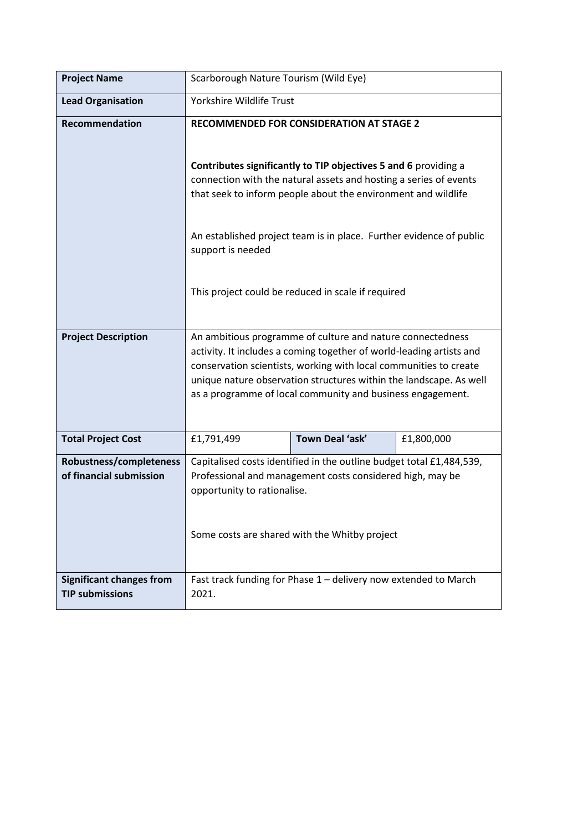| <b>Project Name</b>                                       | Scarborough Nature Tourism (Wild Eye)                                                                                                                                                                                                                                                                                                                                                               |                                                                 |            |
|-----------------------------------------------------------|-----------------------------------------------------------------------------------------------------------------------------------------------------------------------------------------------------------------------------------------------------------------------------------------------------------------------------------------------------------------------------------------------------|-----------------------------------------------------------------|------------|
| <b>Lead Organisation</b>                                  | Yorkshire Wildlife Trust                                                                                                                                                                                                                                                                                                                                                                            |                                                                 |            |
| Recommendation                                            | RECOMMENDED FOR CONSIDERATION AT STAGE 2<br>Contributes significantly to TIP objectives 5 and 6 providing a<br>connection with the natural assets and hosting a series of events<br>that seek to inform people about the environment and wildlife<br>An established project team is in place. Further evidence of public<br>support is needed<br>This project could be reduced in scale if required |                                                                 |            |
|                                                           |                                                                                                                                                                                                                                                                                                                                                                                                     |                                                                 |            |
| <b>Project Description</b>                                | An ambitious programme of culture and nature connectedness<br>activity. It includes a coming together of world-leading artists and<br>conservation scientists, working with local communities to create<br>unique nature observation structures within the landscape. As well<br>as a programme of local community and business engagement.                                                         |                                                                 |            |
| <b>Total Project Cost</b>                                 | £1,791,499                                                                                                                                                                                                                                                                                                                                                                                          | Town Deal 'ask'                                                 | £1,800,000 |
| Robustness/completeness<br>of financial submission        | Capitalised costs identified in the outline budget total £1,484,539,<br>Professional and management costs considered high, may be<br>opportunity to rationalise.<br>Some costs are shared with the Whitby project                                                                                                                                                                                   |                                                                 |            |
| <b>Significant changes from</b><br><b>TIP submissions</b> | 2021.                                                                                                                                                                                                                                                                                                                                                                                               | Fast track funding for Phase 1 - delivery now extended to March |            |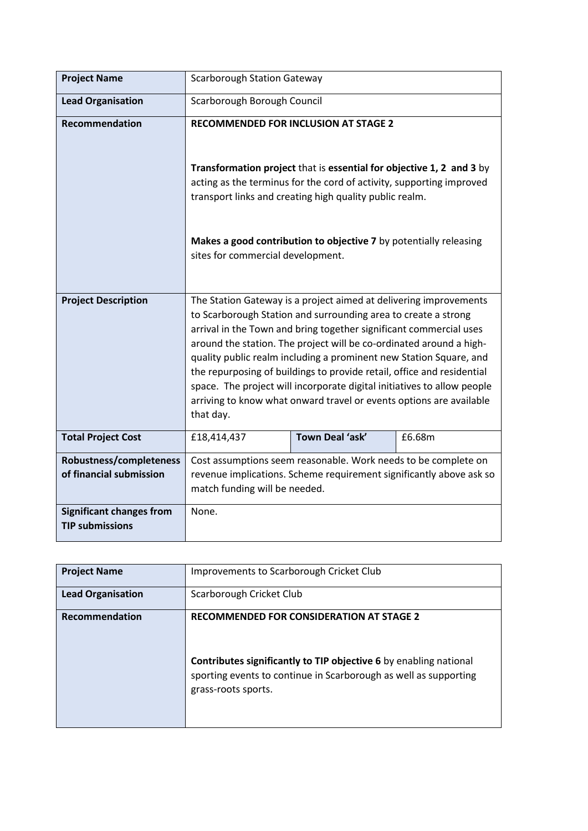| <b>Project Name</b>                                       | <b>Scarborough Station Gateway</b>                                                                                                                                                                                                                                                                                                                                                                                                                                                                                                                                                              |                                                                   |        |
|-----------------------------------------------------------|-------------------------------------------------------------------------------------------------------------------------------------------------------------------------------------------------------------------------------------------------------------------------------------------------------------------------------------------------------------------------------------------------------------------------------------------------------------------------------------------------------------------------------------------------------------------------------------------------|-------------------------------------------------------------------|--------|
| <b>Lead Organisation</b>                                  | Scarborough Borough Council                                                                                                                                                                                                                                                                                                                                                                                                                                                                                                                                                                     |                                                                   |        |
| Recommendation                                            | <b>RECOMMENDED FOR INCLUSION AT STAGE 2</b>                                                                                                                                                                                                                                                                                                                                                                                                                                                                                                                                                     |                                                                   |        |
|                                                           | Transformation project that is essential for objective 1, 2 and 3 by<br>acting as the terminus for the cord of activity, supporting improved<br>transport links and creating high quality public realm.                                                                                                                                                                                                                                                                                                                                                                                         |                                                                   |        |
|                                                           | sites for commercial development.                                                                                                                                                                                                                                                                                                                                                                                                                                                                                                                                                               | Makes a good contribution to objective 7 by potentially releasing |        |
| <b>Project Description</b>                                | The Station Gateway is a project aimed at delivering improvements<br>to Scarborough Station and surrounding area to create a strong<br>arrival in the Town and bring together significant commercial uses<br>around the station. The project will be co-ordinated around a high-<br>quality public realm including a prominent new Station Square, and<br>the repurposing of buildings to provide retail, office and residential<br>space. The project will incorporate digital initiatives to allow people<br>arriving to know what onward travel or events options are available<br>that day. |                                                                   |        |
| <b>Total Project Cost</b>                                 | £18,414,437                                                                                                                                                                                                                                                                                                                                                                                                                                                                                                                                                                                     | Town Deal 'ask'                                                   | £6.68m |
| Robustness/completeness                                   |                                                                                                                                                                                                                                                                                                                                                                                                                                                                                                                                                                                                 | Cost assumptions seem reasonable. Work needs to be complete on    |        |
| of financial submission                                   | revenue implications. Scheme requirement significantly above ask so<br>match funding will be needed.                                                                                                                                                                                                                                                                                                                                                                                                                                                                                            |                                                                   |        |
| <b>Significant changes from</b><br><b>TIP submissions</b> | None.                                                                                                                                                                                                                                                                                                                                                                                                                                                                                                                                                                                           |                                                                   |        |

| <b>Project Name</b>      | Improvements to Scarborough Cricket Club                                                                                                                                                                               |
|--------------------------|------------------------------------------------------------------------------------------------------------------------------------------------------------------------------------------------------------------------|
| <b>Lead Organisation</b> | Scarborough Cricket Club                                                                                                                                                                                               |
| Recommendation           | <b>RECOMMENDED FOR CONSIDERATION AT STAGE 2</b><br><b>Contributes significantly to TIP objective 6</b> by enabling national<br>sporting events to continue in Scarborough as well as supporting<br>grass-roots sports. |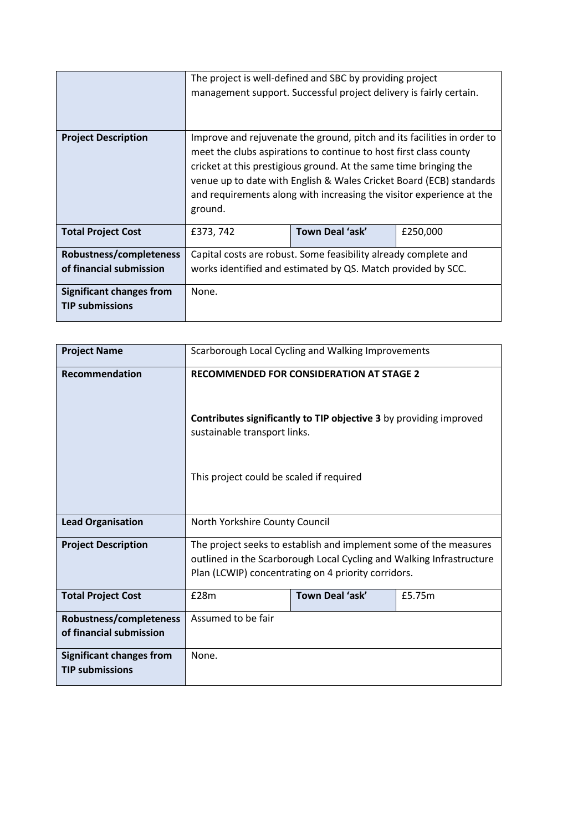|                                 |                                                                                                                                                                                                                                                                                                                                                                             | The project is well-defined and SBC by providing project<br>management support. Successful project delivery is fairly certain. |  |  |
|---------------------------------|-----------------------------------------------------------------------------------------------------------------------------------------------------------------------------------------------------------------------------------------------------------------------------------------------------------------------------------------------------------------------------|--------------------------------------------------------------------------------------------------------------------------------|--|--|
| <b>Project Description</b>      | Improve and rejuvenate the ground, pitch and its facilities in order to<br>meet the clubs aspirations to continue to host first class county<br>cricket at this prestigious ground. At the same time bringing the<br>venue up to date with English & Wales Cricket Board (ECB) standards<br>and requirements along with increasing the visitor experience at the<br>ground. |                                                                                                                                |  |  |
| <b>Total Project Cost</b>       | Town Deal 'ask'<br>£250,000<br>£373, 742                                                                                                                                                                                                                                                                                                                                    |                                                                                                                                |  |  |
| Robustness/completeness         | Capital costs are robust. Some feasibility already complete and                                                                                                                                                                                                                                                                                                             |                                                                                                                                |  |  |
| of financial submission         | works identified and estimated by QS. Match provided by SCC.                                                                                                                                                                                                                                                                                                                |                                                                                                                                |  |  |
| <b>Significant changes from</b> | None.                                                                                                                                                                                                                                                                                                                                                                       |                                                                                                                                |  |  |
| <b>TIP submissions</b>          |                                                                                                                                                                                                                                                                                                                                                                             |                                                                                                                                |  |  |

| <b>Project Name</b>             |                                                                                                    | Scarborough Local Cycling and Walking Improvements |        |
|---------------------------------|----------------------------------------------------------------------------------------------------|----------------------------------------------------|--------|
| <b>Recommendation</b>           | <b>RECOMMENDED FOR CONSIDERATION AT STAGE 2</b>                                                    |                                                    |        |
|                                 | Contributes significantly to TIP objective 3 by providing improved<br>sustainable transport links. |                                                    |        |
|                                 | This project could be scaled if required                                                           |                                                    |        |
| <b>Lead Organisation</b>        | North Yorkshire County Council                                                                     |                                                    |        |
| <b>Project Description</b>      | The project seeks to establish and implement some of the measures                                  |                                                    |        |
|                                 | outlined in the Scarborough Local Cycling and Walking Infrastructure                               |                                                    |        |
|                                 | Plan (LCWIP) concentrating on 4 priority corridors.                                                |                                                    |        |
| <b>Total Project Cost</b>       | £28m                                                                                               | Town Deal 'ask'                                    | £5.75m |
| Robustness/completeness         | Assumed to be fair                                                                                 |                                                    |        |
| of financial submission         |                                                                                                    |                                                    |        |
| <b>Significant changes from</b> | None.                                                                                              |                                                    |        |
| <b>TIP submissions</b>          |                                                                                                    |                                                    |        |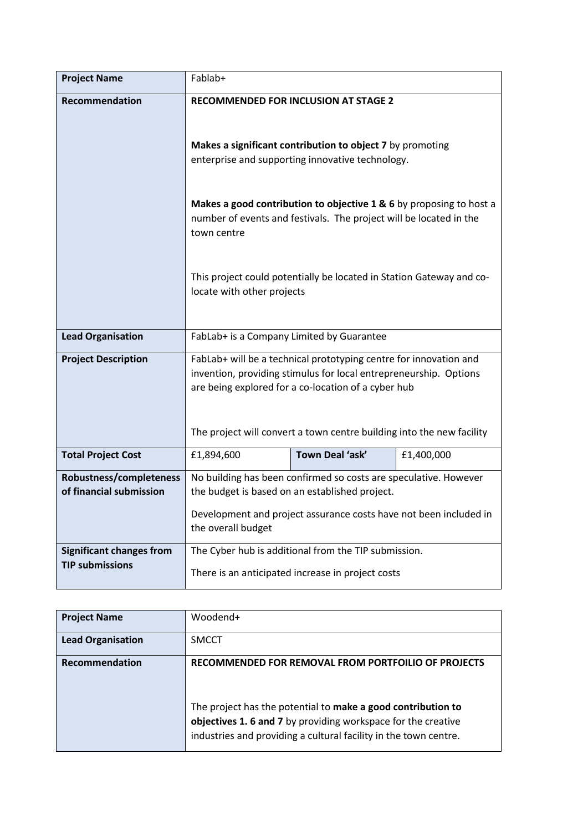| <b>Project Name</b>             | Fablab+                                                             |                                                                                                                          |            |  |
|---------------------------------|---------------------------------------------------------------------|--------------------------------------------------------------------------------------------------------------------------|------------|--|
| Recommendation                  |                                                                     | <b>RECOMMENDED FOR INCLUSION AT STAGE 2</b>                                                                              |            |  |
|                                 |                                                                     |                                                                                                                          |            |  |
|                                 |                                                                     | Makes a significant contribution to object 7 by promoting                                                                |            |  |
|                                 | enterprise and supporting innovative technology.                    |                                                                                                                          |            |  |
|                                 | Makes a good contribution to objective 1 & 6 by proposing to host a |                                                                                                                          |            |  |
|                                 | town centre                                                         | number of events and festivals. The project will be located in the                                                       |            |  |
|                                 |                                                                     |                                                                                                                          |            |  |
|                                 |                                                                     | This project could potentially be located in Station Gateway and co-                                                     |            |  |
|                                 | locate with other projects                                          |                                                                                                                          |            |  |
|                                 |                                                                     |                                                                                                                          |            |  |
| <b>Lead Organisation</b>        | FabLab+ is a Company Limited by Guarantee                           |                                                                                                                          |            |  |
| <b>Project Description</b>      |                                                                     | FabLab+ will be a technical prototyping centre for innovation and                                                        |            |  |
|                                 |                                                                     | invention, providing stimulus for local entrepreneurship. Options<br>are being explored for a co-location of a cyber hub |            |  |
|                                 |                                                                     |                                                                                                                          |            |  |
|                                 |                                                                     |                                                                                                                          |            |  |
|                                 |                                                                     | The project will convert a town centre building into the new facility                                                    |            |  |
| <b>Total Project Cost</b>       | £1,894,600                                                          | Town Deal 'ask'                                                                                                          | £1,400,000 |  |
| Robustness/completeness         |                                                                     | No building has been confirmed so costs are speculative. However                                                         |            |  |
| of financial submission         | the budget is based on an established project.                      |                                                                                                                          |            |  |
|                                 | Development and project assurance costs have not been included in   |                                                                                                                          |            |  |
|                                 | the overall budget                                                  |                                                                                                                          |            |  |
| <b>Significant changes from</b> |                                                                     | The Cyber hub is additional from the TIP submission.                                                                     |            |  |
| <b>TIP submissions</b>          |                                                                     | There is an anticipated increase in project costs                                                                        |            |  |

| <b>Project Name</b>      | Woodend+                                                                                                                                                                                         |
|--------------------------|--------------------------------------------------------------------------------------------------------------------------------------------------------------------------------------------------|
| <b>Lead Organisation</b> | <b>SMCCT</b>                                                                                                                                                                                     |
| Recommendation           | RECOMMENDED FOR REMOVAL FROM PORTFOILIO OF PROJECTS                                                                                                                                              |
|                          | The project has the potential to make a good contribution to<br>objectives 1.6 and 7 by providing workspace for the creative<br>industries and providing a cultural facility in the town centre. |